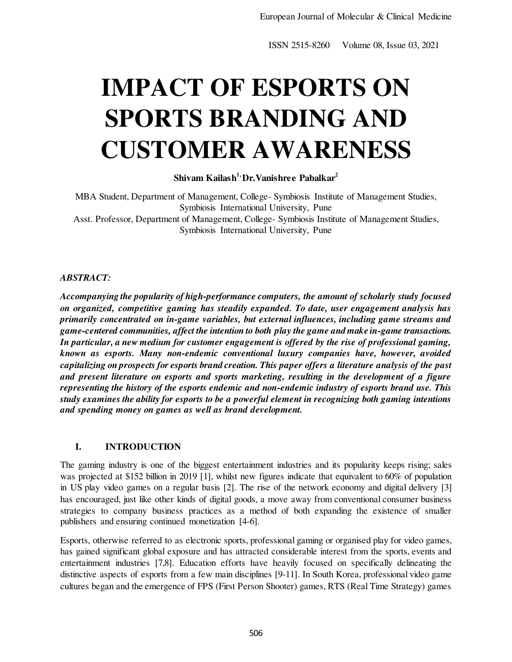# **IMPACT OF ESPORTS ON SPORTS BRANDING AND CUSTOMER AWARENESS**

**Shivam Kailash1, Dr.Vanishree Pabalkar<sup>2</sup>**

MBA Student, Department of Management, College- Symbiosis Institute of Management Studies, Symbiosis International University, Pune Asst. Professor, Department of Management, College- Symbiosis Institute of Management Studies, Symbiosis International University, Pune

# *ABSTRACT:*

*Accompanying the popularity of high-performance computers, the amount of scholarly study focused on organized, competitive gaming has steadily expanded. To date, user engagement analysis has primarily concentrated on in-game variables, but external influences, including game streams and game-centered communities, affect the intention to both play the game and make in-game transactions. In particular, a new medium for customer engagement is offered by the rise of professional gaming, known as esports. Many non-endemic conventional luxury companies have, however, avoided capitalizing on prospects for esports brand creation. This paper offers a literature analysis of the past and present literature on esports and sports marketing, resulting in the development of a figure representing the history of the esports endemic and non-endemic industry of esports brand use. This study examines the ability for esports to be a powerful element in recognizing both gaming intentions and spending money on games as well as brand development.* 

# **I. INTRODUCTION**

The gaming industry is one of the biggest entertainment industries and its popularity keeps rising; sales was projected at \$152 billion in 2019 [1], whilst new figures indicate that equivalent to 60% of population in US play video games on a regular basis [2]. The rise of the network economy and digital delivery [3] has encouraged, just like other kinds of digital goods, a move away from conventional consumer business strategies to company business practices as a method of both expanding the existence of smaller publishers and ensuring continued monetization [4-6].

Esports, otherwise referred to as electronic sports, professional gaming or organised play for video games, has gained significant global exposure and has attracted considerable interest from the sports, events and entertainment industries [7,8]. Education efforts have heavily focused on specifically delineating the distinctive aspects of esports from a few main disciplines [9-11]. In South Korea, professional video game cultures began and the emergence of FPS (First Person Shooter) games, RTS (Real Time Strategy) games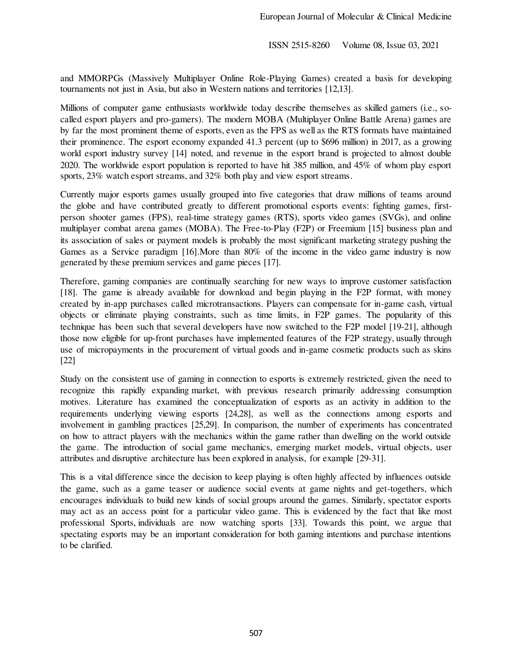and MMORPGs (Massively Multiplayer Online Role-Playing Games) created a basis for developing tournaments not just in Asia, but also in Western nations and territories [12,13].

Millions of computer game enthusiasts worldwide today describe themselves as skilled gamers (i.e., socalled esport players and pro-gamers). The modern MOBA (Multiplayer Online Battle Arena) games are by far the most prominent theme of esports, even as the FPS as well as the RTS formats have maintained their prominence. The esport economy expanded 41.3 percent (up to \$696 million) in 2017, as a growing world esport industry survey [14] noted, and revenue in the esport brand is projected to almost double 2020. The worldwide esport population is reported to have hit 385 million, and 45% of whom play esport sports, 23% watch esport streams, and 32% both play and view esport streams.

Currently major esports games usually grouped into five categories that draw millions of teams around the globe and have contributed greatly to different promotional esports events: fighting games, firstperson shooter games (FPS), real-time strategy games (RTS), sports video games (SVGs), and online multiplayer combat arena games (MOBA). The Free-to-Play (F2P) or Freemium [15] business plan and its association of sales or payment models is probably the most significant marketing strategy pushing the Games as a Service paradigm [16].More than 80% of the income in the video game industry is now generated by these premium services and game pieces [17].

Therefore, gaming companies are continually searching for new ways to improve customer satisfaction [18]. The game is already available for download and begin playing in the F2P format, with money created by in-app purchases called microtransactions. Players can compensate for in-game cash, virtual objects or eliminate playing constraints, such as time limits, in F2P games. The popularity of this technique has been such that several developers have now switched to the F2P model [19-21], although those now eligible for up-front purchases have implemented features of the F2P strategy, usually through use of micropayments in the procurement of virtual goods and in-game cosmetic products such as skins [22]

Study on the consistent use of gaming in connection to esports is extremely restricted, given the need to recognize this rapidly expanding market, with previous research primarily addressing consumption motives. Literature has examined the conceptualization of esports as an activity in addition to the requirements underlying viewing esports [24,28], as well as the connections among esports and involvement in gambling practices [25,29]. In comparison, the number of experiments has concentrated on how to attract players with the mechanics within the game rather than dwelling on the world outside the game. The introduction of social game mechanics, emerging market models, virtual objects, user attributes and disruptive architecture has been explored in analysis, for example [29-31].

This is a vital difference since the decision to keep playing is often highly affected by influences outside the game, such as a game teaser or audience social events at game nights and get-togethers, which encourages individuals to build new kinds of social groups around the games. Similarly, spectator esports may act as an access point for a particular video game. This is evidenced by the fact that like most professional Sports, individuals are now watching sports [33]. Towards this point, we argue that spectating esports may be an important consideration for both gaming intentions and purchase intentions to be clarified.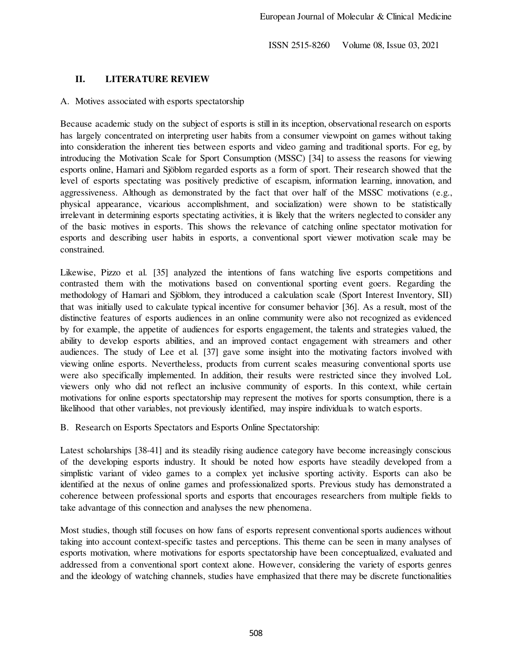## **II. LITERATURE REVIEW**

#### A. Motives associated with esports spectatorship

Because academic study on the subject of esports is still in its inception, observational research on esports has largely concentrated on interpreting user habits from a consumer viewpoint on games without taking into consideration the inherent ties between esports and video gaming and traditional sports. For eg, by introducing the Motivation Scale for Sport Consumption (MSSC) [34] to assess the reasons for viewing esports online, Hamari and Sjöblom regarded esports as a form of sport. Their research showed that the level of esports spectating was positively predictive of escapism, information learning, innovation, and aggressiveness. Although as demonstrated by the fact that over half of the MSSC motivations (e.g., physical appearance, vicarious accomplishment, and socialization) were shown to be statistically irrelevant in determining esports spectating activities, it is likely that the writers neglected to consider any of the basic motives in esports. This shows the relevance of catching online spectator motivation for esports and describing user habits in esports, a conventional sport viewer motivation scale may be constrained.

Likewise, Pizzo et al. [35] analyzed the intentions of fans watching live esports competitions and contrasted them with the motivations based on conventional sporting event goers. Regarding the methodology of Hamari and Sjöblom, they introduced a calculation scale (Sport Interest Inventory, SII) that was initially used to calculate typical incentive for consumer behavior [36]. As a result, most of the distinctive features of esports audiences in an online community were also not recognized as evidenced by for example, the appetite of audiences for esports engagement, the talents and strategies valued, the ability to develop esports abilities, and an improved contact engagement with streamers and other audiences. The study of Lee et al. [37] gave some insight into the motivating factors involved with viewing online esports. Nevertheless, products from current scales measuring conventional sports use were also specifically implemented. In addition, their results were restricted since they involved LoL viewers only who did not reflect an inclusive community of esports. In this context, while certain motivations for online esports spectatorship may represent the motives for sports consumption, there is a likelihood that other variables, not previously identified, may inspire individuals to watch esports.

B. Research on Esports Spectators and Esports Online Spectatorship:

Latest scholarships [38-41] and its steadily rising audience category have become increasingly conscious of the developing esports industry. It should be noted how esports have steadily developed from a simplistic variant of video games to a complex yet inclusive sporting activity. Esports can also be identified at the nexus of online games and professionalized sports. Previous study has demonstrated a coherence between professional sports and esports that encourages researchers from multiple fields to take advantage of this connection and analyses the new phenomena.

Most studies, though still focuses on how fans of esports represent conventional sports audiences without taking into account context-specific tastes and perceptions. This theme can be seen in many analyses of esports motivation, where motivations for esports spectatorship have been conceptualized, evaluated and addressed from a conventional sport context alone. However, considering the variety of esports genres and the ideology of watching channels, studies have emphasized that there may be discrete functionalities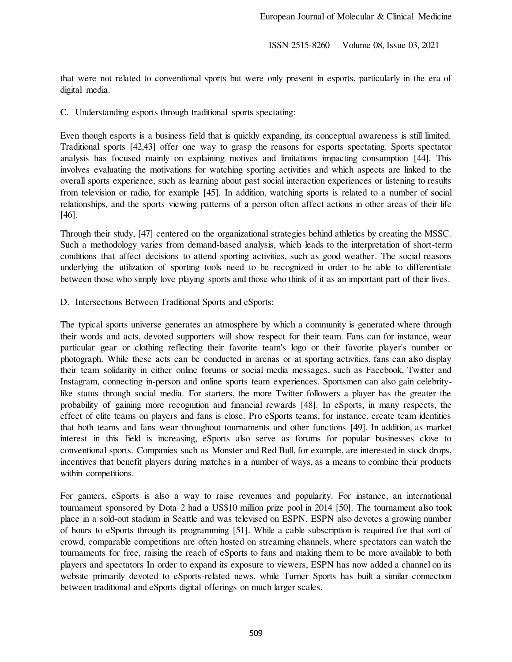that were not related to conventional sports but were only present in esports, particularly in the era of digital media.

C. Understanding esports through traditional sports spectating:

Even though esports is a business field that is quickly expanding, its conceptual awareness is still limited. Traditional sports [42,43] offer one way to grasp the reasons for esports spectating. Sports spectator analysis has focused mainly on explaining motives and limitations impacting consumption [44]. This involves evaluating the motivations for watching sporting activities and which aspects are linked to the overall sports experience, such as learning about past social interaction experiences or listening to results from television or radio, for example [45]. In addition, watching sports is related to a number of social relationships, and the sports viewing patterns of a person often affect actions in other areas of their life [46].

Through their study, [47] centered on the organizational strategies behind athletics by creating the MSSC. Such a methodology varies from demand-based analysis, which leads to the interpretation of short-term conditions that affect decisions to attend sporting activities, such as good weather. The social reasons underlying the utilization of sporting tools need to be recognized in order to be able to differentiate between those who simply love playing sports and those who think of it as an important part of their lives.

D. Intersections Between Traditional Sports and eSports:

The typical sports universe generates an atmosphere by which a community is generated where through their words and acts, devoted supporters will show respect for their team. Fans can for instance, wear particular gear or clothing reflecting their favorite team's logo or their favorite player's number or photograph. While these acts can be conducted in arenas or at sporting activities, fans can also display their team solidarity in either online forums or social media messages, such as Facebook, Twitter and Instagram, connecting in-person and online sports team experiences. Sportsmen can also gain celebritylike status through social media. For starters, the more Twitter followers a player has the greater the probability of gaining more recognition and financial rewards [48]. In eSports, in many respects, the effect of elite teams on players and fans is close. Pro eSports teams, for instance, create team identities that both teams and fans wear throughout tournaments and other functions [49]. In addition, as market interest in this field is increasing, eSports also serve as forums for popular businesses close to conventional sports. Companies such as Monster and Red Bull, for example, are interested in stock drops, incentives that benefit players during matches in a number of ways, as a means to combine their products within competitions.

For gamers, eSports is also a way to raise revenues and popularity. For instance, an international tournament sponsored by Dota 2 had a US\$10 million prize pool in 2014 [50]. The tournament also took place in a sold-out stadium in Seattle and was televised on ESPN. ESPN also devotes a growing number of hours to eSports through its programming [51]. While a cable subscription is required for that sort of crowd, comparable competitions are often hosted on streaming channels, where spectators can watch the tournaments for free, raising the reach of eSports to fans and making them to be more available to both players and spectators In order to expand its exposure to viewers, ESPN has now added a channel on its website primarily devoted to eSports-related news, while Turner Sports has built a similar connection between traditional and eSports digital offerings on much larger scales.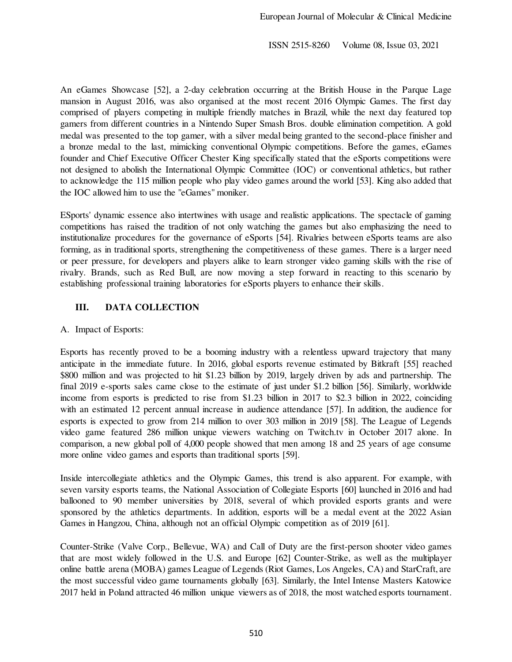An eGames Showcase [52], a 2-day celebration occurring at the British House in the Parque Lage mansion in August 2016, was also organised at the most recent 2016 Olympic Games. The first day comprised of players competing in multiple friendly matches in Brazil, while the next day featured top gamers from different countries in a Nintendo Super Smash Bros. double elimination competition. A gold medal was presented to the top gamer, with a silver medal being granted to the second-place finisher and a bronze medal to the last, mimicking conventional Olympic competitions. Before the games, eGames founder and Chief Executive Officer Chester King specifically stated that the eSports competitions were not designed to abolish the International Olympic Committee (IOC) or conventional athletics, but rather to acknowledge the 115 million people who play video games around the world [53]. King also added that the IOC allowed him to use the "eGames" moniker.

ESports' dynamic essence also intertwines with usage and realistic applications. The spectacle of gaming competitions has raised the tradition of not only watching the games but also emphasizing the need to institutionalize procedures for the governance of eSports [54]. Rivalries between eSports teams are also forming, as in traditional sports, strengthening the competitiveness of these games. There is a larger need or peer pressure, for developers and players alike to learn stronger video gaming skills with the rise of rivalry. Brands, such as Red Bull, are now moving a step forward in reacting to this scenario by establishing professional training laboratories for eSports players to enhance their skills.

# **III. DATA COLLECTION**

A. Impact of Esports:

Esports has recently proved to be a booming industry with a relentless upward trajectory that many anticipate in the immediate future. In 2016, global esports revenue estimated by Bitkraft [55] reached \$800 million and was projected to hit \$1.23 billion by 2019, largely driven by ads and partnership. The final 2019 e-sports sales came close to the estimate of just under \$1.2 billion [56]. Similarly, worldwide income from esports is predicted to rise from \$1.23 billion in 2017 to \$2.3 billion in 2022, coinciding with an estimated 12 percent annual increase in audience attendance [57]. In addition, the audience for esports is expected to grow from 214 million to over 303 million in 2019 [58]. The League of Legends video game featured 286 million unique viewers watching on Twitch.tv in October 2017 alone. In comparison, a new global poll of 4,000 people showed that men among 18 and 25 years of age consume more online video games and esports than traditional sports [59].

Inside intercollegiate athletics and the Olympic Games, this trend is also apparent. For example, with seven varsity esports teams, the National Association of Collegiate Esports [60] launched in 2016 and had ballooned to 90 member universities by 2018, several of which provided esports grants and were sponsored by the athletics departments. In addition, esports will be a medal event at the 2022 Asian Games in Hangzou, China, although not an official Olympic competition as of 2019 [61].

Counter-Strike (Valve Corp., Bellevue, WA) and Call of Duty are the first-person shooter video games that are most widely followed in the U.S. and Europe [62] Counter-Strike, as well as the multiplayer online battle arena (MOBA) games League of Legends (Riot Games, Los Angeles, CA) and StarCraft, are the most successful video game tournaments globally [63]. Similarly, the Intel Intense Masters Katowice 2017 held in Poland attracted 46 million unique viewers as of 2018, the most watched esports tournament.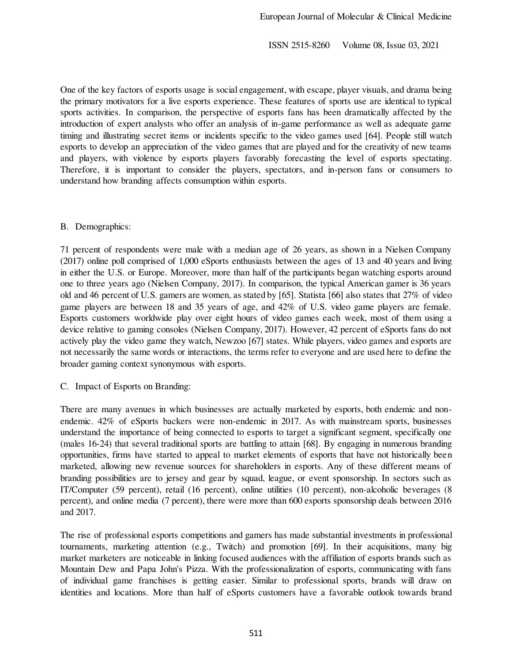One of the key factors of esports usage is social engagement, with escape, player visuals, and drama being the primary motivators for a live esports experience. These features of sports use are identical to typical sports activities. In comparison, the perspective of esports fans has been dramatically affected by the introduction of expert analysts who offer an analysis of in-game performance as well as adequate game timing and illustrating secret items or incidents specific to the video games used [64]. People still watch esports to develop an appreciation of the video games that are played and for the creativity of new teams and players, with violence by esports players favorably forecasting the level of esports spectating. Therefore, it is important to consider the players, spectators, and in-person fans or consumers to understand how branding affects consumption within esports.

## B. Demographics:

71 percent of respondents were male with a median age of 26 years, as shown in a Nielsen Company (2017) online poll comprised of 1,000 eSports enthusiasts between the ages of 13 and 40 years and living in either the U.S. or Europe. Moreover, more than half of the participants began watching esports around one to three years ago (Nielsen Company, 2017). In comparison, the typical American gamer is 36 years old and 46 percent of U.S. gamers are women, as stated by [65]. Statista [66] also states that 27% of video game players are between 18 and 35 years of age, and 42% of U.S. video game players are female. Esports customers worldwide play over eight hours of video games each week, most of them using a device relative to gaming consoles (Nielsen Company, 2017). However, 42 percent of eSports fans do not actively play the video game they watch, Newzoo [67] states. While players, video games and esports are not necessarily the same words or interactions, the terms refer to everyone and are used here to define the broader gaming context synonymous with esports.

C. Impact of Esports on Branding:

There are many avenues in which businesses are actually marketed by esports, both endemic and nonendemic. 42% of eSports backers were non-endemic in 2017. As with mainstream sports, businesses understand the importance of being connected to esports to target a significant segment, specifically one (males 16-24) that several traditional sports are battling to attain [68]. By engaging in numerous branding opportunities, firms have started to appeal to market elements of esports that have not historically been marketed, allowing new revenue sources for shareholders in esports. Any of these different means of branding possibilities are to jersey and gear by squad, league, or event sponsorship. In sectors such as IT/Computer (59 percent), retail (16 percent), online utilities (10 percent), non-alcoholic beverages (8 percent), and online media (7 percent), there were more than 600 esports sponsorship deals between 2016 and 2017.

The rise of professional esports competitions and gamers has made substantial investments in professional tournaments, marketing attention (e.g., Twitch) and promotion [69]. In their acquisitions, many big market marketers are noticeable in linking focused audiences with the affiliation of esports brands such as Mountain Dew and Papa John's Pizza. With the professionalization of esports, communicating with fans of individual game franchises is getting easier. Similar to professional sports, brands will draw on identities and locations. More than half of eSports customers have a favorable outlook towards brand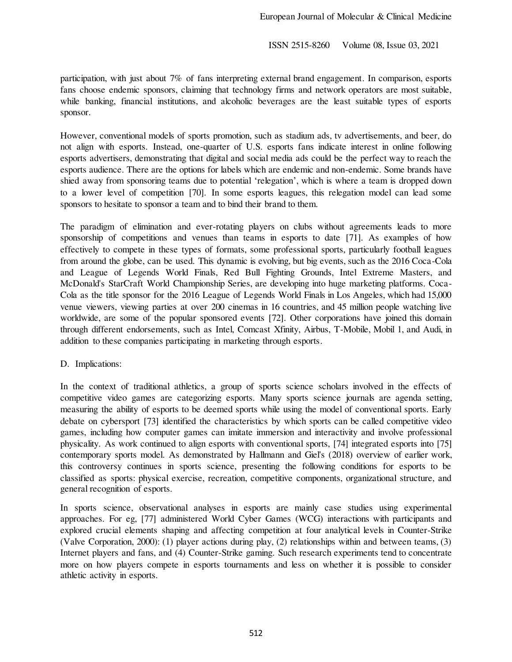participation, with just about 7% of fans interpreting external brand engagement. In comparison, esports fans choose endemic sponsors, claiming that technology firms and network operators are most suitable, while banking, financial institutions, and alcoholic beverages are the least suitable types of esports sponsor.

However, conventional models of sports promotion, such as stadium ads, tv advertisements, and beer, do not align with esports. Instead, one-quarter of U.S. esports fans indicate interest in online following esports advertisers, demonstrating that digital and social media ads could be the perfect way to reach the esports audience. There are the options for labels which are endemic and non-endemic. Some brands have shied away from sponsoring teams due to potential 'relegation', which is where a team is dropped down to a lower level of competition [70]. In some esports leagues, this relegation model can lead some sponsors to hesitate to sponsor a team and to bind their brand to them.

The paradigm of elimination and ever-rotating players on clubs without agreements leads to more sponsorship of competitions and venues than teams in esports to date [71]. As examples of how effectively to compete in these types of formats, some professional sports, particularly football leagues from around the globe, can be used. This dynamic is evolving, but big events, such as the 2016 Coca-Cola and League of Legends World Finals, Red Bull Fighting Grounds, Intel Extreme Masters, and McDonald's StarCraft World Championship Series, are developing into huge marketing platforms. Coca-Cola as the title sponsor for the 2016 League of Legends World Finals in Los Angeles, which had 15,000 venue viewers, viewing parties at over 200 cinemas in 16 countries, and 45 million people watching live worldwide, are some of the popular sponsored events [72]. Other corporations have joined this domain through different endorsements, such as Intel, Comcast Xfinity, Airbus, T-Mobile, Mobil 1, and Audi, in addition to these companies participating in marketing through esports.

## D. Implications:

In the context of traditional athletics, a group of sports science scholars involved in the effects of competitive video games are categorizing esports. Many sports science journals are agenda setting, measuring the ability of esports to be deemed sports while using the model of conventional sports. Early debate on cybersport [73] identified the characteristics by which sports can be called competitive video games, including how computer games can imitate immersion and interactivity and involve professional physicality. As work continued to align esports with conventional sports, [74] integrated esports into [75] contemporary sports model. As demonstrated by Hallmann and Giel's (2018) overview of earlier work, this controversy continues in sports science, presenting the following conditions for esports to be classified as sports: physical exercise, recreation, competitive components, organizational structure, and general recognition of esports.

In sports science, observational analyses in esports are mainly case studies using experimental approaches. For eg, [77] administered World Cyber Games (WCG) interactions with participants and explored crucial elements shaping and affecting competition at four analytical levels in Counter-Strike (Valve Corporation, 2000): (1) player actions during play, (2) relationships within and between teams, (3) Internet players and fans, and (4) Counter-Strike gaming. Such research experiments tend to concentrate more on how players compete in esports tournaments and less on whether it is possible to consider athletic activity in esports.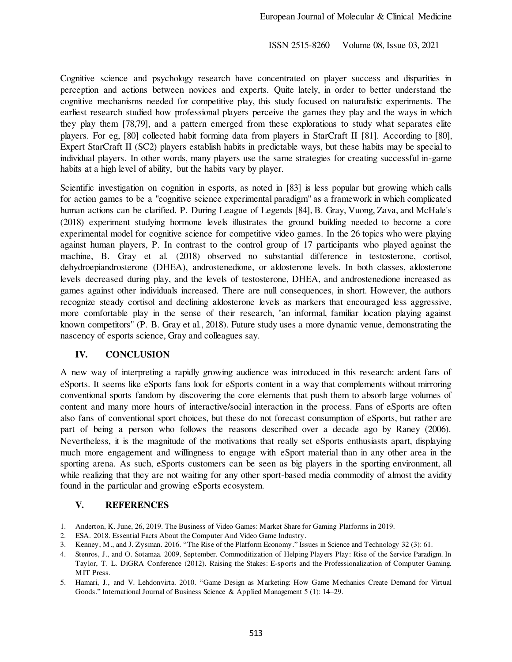Cognitive science and psychology research have concentrated on player success and disparities in perception and actions between novices and experts. Quite lately, in order to better understand the cognitive mechanisms needed for competitive play, this study focused on naturalistic experiments. The earliest research studied how professional players perceive the games they play and the ways in which they play them [78,79], and a pattern emerged from these explorations to study what separates elite players. For eg, [80] collected habit forming data from players in StarCraft II [81]. According to [80], Expert StarCraft II (SC2) players establish habits in predictable ways, but these habits may be special to individual players. In other words, many players use the same strategies for creating successful in-game habits at a high level of ability, but the habits vary by player.

Scientific investigation on cognition in esports, as noted in [83] is less popular but growing which calls for action games to be a "cognitive science experimental paradigm" as a framework in which complicated human actions can be clarified. P. During League of Legends [84], B. Gray, Vuong, Zava, and McHale's (2018) experiment studying hormone levels illustrates the ground building needed to become a core experimental model for cognitive science for competitive video games. In the 26 topics who were playing against human players, P. In contrast to the control group of 17 participants who played against the machine, B. Gray et al. (2018) observed no substantial difference in testosterone, cortisol, dehydroepiandrosterone (DHEA), androstenedione, or aldosterone levels. In both classes, aldosterone levels decreased during play, and the levels of testosterone, DHEA, and androstenedione increased as games against other individuals increased. There are null consequences, in short. However, the authors recognize steady cortisol and declining aldosterone levels as markers that encouraged less aggressive, more comfortable play in the sense of their research, "an informal, familiar location playing against known competitors" (P. B. Gray et al., 2018). Future study uses a more dynamic venue, demonstrating the nascency of esports science, Gray and colleagues say.

## **IV. CONCLUSION**

A new way of interpreting a rapidly growing audience was introduced in this research: ardent fans of eSports. It seems like eSports fans look for eSports content in a way that complements without mirroring conventional sports fandom by discovering the core elements that push them to absorb large volumes of content and many more hours of interactive/social interaction in the process. Fans of eSports are often also fans of conventional sport choices, but these do not forecast consumption of eSports, but rather are part of being a person who follows the reasons described over a decade ago by Raney (2006). Nevertheless, it is the magnitude of the motivations that really set eSports enthusiasts apart, displaying much more engagement and willingness to engage with eSport material than in any other area in the sporting arena. As such, eSports customers can be seen as big players in the sporting environment, all while realizing that they are not waiting for any other sport-based media commodity of almost the avidity found in the particular and growing eSports ecosystem.

# **V. REFERENCES**

- 1. Anderton, K. June, 26, 2019. The Business of Video Games: Market Share for Gaming Platforms in 2019.
- 2. ESA. 2018. Essential Facts About the Computer And Video Game Industry.
- 3. Kenney, M., and J. Zysman. 2016. "The Rise of the Platform Economy." Issues in Science and Technology 32 (3): 61.
- 4. Stenros, J., and O. Sotamaa. 2009, September. Commoditization of Helping Players Play: Rise of the Service Paradigm. In Taylor, T. L. DiGRA Conference (2012). Raising the Stakes: E-sports and the Professionalization of Computer Gaming. MIT Press.
- 5. Hamari, J., and V. Lehdonvirta. 2010. "Game Design as Marketing: How Game Mechanics Create Demand for Virtual Goods." International Journal of Business Science & Applied Management 5 (1): 14–29.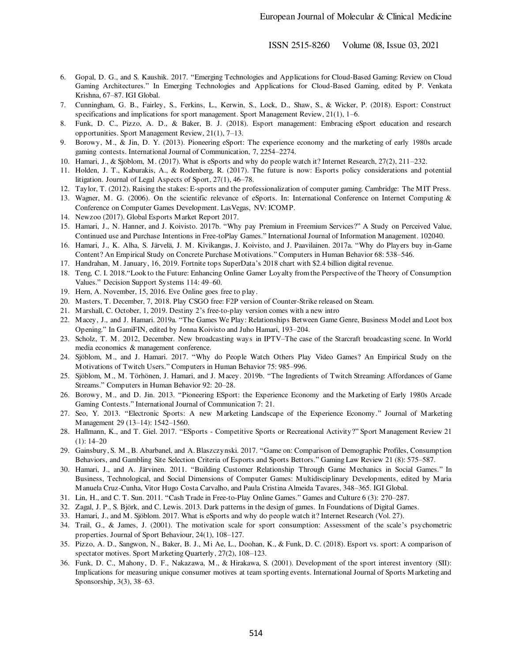- 6. Gopal, D. G., and S. Kaushik. 2017. "Emerging Technologies and Applications for Cloud-Based Gaming: Review on Cloud Gaming Architectures." In Emerging Technologies and Applications for Cloud-Based Gaming, edited by P. Venkata Krishna, 67–87. IGI Global.
- 7. Cunningham, G. B., Fairley, S., Ferkins, L., Kerwin, S., Lock, D., Shaw, S., & Wicker, P. (2018). Esport: Construct specifications and implications for sport management. Sport Management Review, 21(1), 1-6.
- 8. Funk, D. C., Pizzo, A. D., & Baker, B. J. (2018). Esport management: Embracing eSport education and research opportunities. Sport Management Review, 21(1), 7–13.
- 9. Borowy, M., & Jin, D. Y. (2013). Pioneering eSport: The experience economy and the marketing of early 1980s arcade gaming contests. International Journal of Communication, 7, 2254–2274.
- 10. Hamari, J., & Sjöblom, M. (2017). What is eSports and why do people watch it? Internet Research, 27(2), 211–232.
- 11. Holden, J. T., Kaburakis, A., & Rodenberg, R. (2017). The future is now: Esports policy considerations and potential litigation. Journal of Legal Aspects of Sport, 27(1), 46–78.
- 12. Taylor, T. (2012). Raising the stakes: E-sports and the professionalization of computer gaming. Cambridge: The MIT Press.
- 13. Wagner, M. G. (2006). On the scientific relevance of eSports. In: International Conference on Internet Computing & Conference on Computer Games Development. LasVegas, NV: ICOMP.
- 14. Newzoo (2017). Global Esports Market Report 2017.
- 15. Hamari, J., N. Hanner, and J. Koivisto. 2017b. "Why pay Premium in Freemium Services?" A Study on Perceived Value, Continued use and Purchase Intentions in Free-toPlay Games." International Journal of Information Management. 102040.
- 16. Hamari, J., K. Alha, S. Järvelä, J. M. Kivikangas, J. Koivisto, and J. Paavilainen. 2017a. "Why do Players buy in-Game Content? An Empirical Study on Concrete Purchase Motivations." Computers in Human Behavior 68: 538–546.
- 17. Handrahan, M. January, 16, 2019. Fortnite tops SuperData's 2018 chart with \$2.4 billion digital revenue.
- 18. Teng, C. I. 2018."Look to the Future: Enhancing Online Gamer Loyalty from the Perspective of the Theory of Consumption Values." Decision Support Systems 114: 49–60.
- 19. Hern, A. November, 15, 2016. Eve Online goes free to play.
- 20. Masters, T. December, 7, 2018. Play CSGO free: F2P version of Counter-Strike released on Steam.
- 21. Marshall, C. October, 1, 2019. Destiny 2's free-to-play version comes with a new intro
- 22. Macey, J., and J. Hamari. 2019a. "The Games We Play: Relationships Between Game Genre, Business Model and Loot box Opening." In GamiFIN, edited by Jonna Koivisto and Juho Hamari, 193–204.
- 23. Scholz, T. M. 2012, December. New broadcasting ways in IPTV–The case of the Starcraft broadcasting scene. In World media economics & management conference.
- 24. Sjöblom, M., and J. Hamari. 2017. "Why do People Watch Others Play Video Games? An Empirical Study on the Motivations of Twitch Users." Computers in Human Behavior 75: 985–996.
- 25. Sjöblom, M., M. Törhönen, J. Hamari, and J. Macey. 2019b. "The Ingredients of Twitch Streaming: Affordances of Game Streams." Computers in Human Behavior 92: 20–28.
- 26. Borowy, M., and D. Jin. 2013. "Pioneering ESport: the Experience Economy and the Marketing of Early 1980s Arcade Gaming Contests." International Journal of Communication 7: 21.
- 27. Seo, Y. 2013. "Electronic Sports: A new Marketing Landscape of the Experience Economy." Journal of Marketing Management 29 (13–14): 1542–1560.
- 28. Hallmann, K., and T. Giel. 2017. "ESports Competitive Sports or Recreational Activity?" Sport Management Review 21  $(1): 14–20$
- 29. Gainsbury, S. M., B. Abarbanel, and A. Blaszczynski. 2017. "Game on: Comparison of Demographic Profiles, Consumption Behaviors, and Gambling Site Selection Criteria of Esports and Sports Bettors." Gaming Law Review 21 (8): 575–587.
- 30. Hamari, J., and A. Järvinen. 2011. "Building Customer Relationship Through Game Mechanics in Social Games." In Business, Technological, and Social Dimensions of Computer Games: Multidisciplinary Developments, edited by Maria Manuela Cruz-Cunha, Vitor Hugo Costa Carvalho, and Paula Cristina Almeida Tavares, 348–365. IGI Global.
- 31. Lin, H., and C. T. Sun. 2011. "Cash Trade in Free-to-Play Online Games." Games and Culture 6 (3): 270–287.
- 32. Zagal, J. P., S. Björk, and C. Lewis. 2013. Dark patterns in the design of games. In Foundations of Digital Games.
- 33. Hamari, J., and M. Sjöblom. 2017. What is eSports and why do people watch it? Internet Research (Vol. 27).
- 34. Trail, G., & James, J. (2001). The motivation scale for sport consumption: Assessment of the scale's psychometric properties. Journal of Sport Behaviour, 24(1), 108–127.
- 35. Pizzo, A. D., Sangwon, N., Baker, B. J., Mi Ae, L., Doohan, K., & Funk, D. C. (2018). Esport vs. sport: A comparison of spectator motives. Sport Marketing Quarterly, 27(2), 108–123.
- 36. Funk, D. C., Mahony, D. F., Nakazawa, M., & Hirakawa, S. (2001). Development of the sport interest inventory (SII): Implications for measuring unique consumer motives at team sporting events. International Journal of Sports Marketing and Sponsorship, 3(3), 38–63.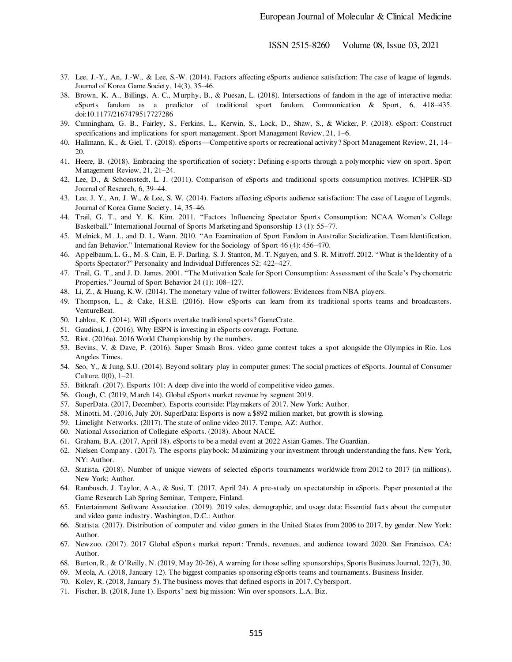- 37. Lee, J.-Y., An, J.-W., & Lee, S.-W. (2014). Factors affecting eSports audience satisfaction: The case of league of legends. Journal of Korea Game Society, 14(3), 35–46.
- 38. Brown, K. A., Billings, A. C., Murphy, B., & Puesan, L. (2018). Intersections of fandom in the age of interactive media: eSports fandom as a predictor of traditional sport fandom. Communication & Sport, 6, 418–435. doi:10.1177/2167479517727286
- 39. Cunningham, G. B., Fairley, S., Ferkins, L., Kerwin, S., Lock, D., Shaw, S., & Wicker, P. (2018). eSport: Const ruct specifications and implications for sport management. Sport Management Review, 21, 1–6.
- 40. Hallmann, K., & Giel, T. (2018). eSports—Competitive sports or recreational activity? Sport Management Review, 21, 14– 20.
- 41. Heere, B. (2018). Embracing the sportification of society: Defining e-sports through a polymorphic view on sport. Sport Management Review, 21, 21–24.
- 42. Lee, D., & Schoenstedt, L. J. (2011). Comparison of eSports and traditional sports consumption motives. ICHPER-SD Journal of Research, 6, 39–44.
- 43. Lee, J. Y., An, J. W., & Lee, S. W. (2014). Factors affecting eSports audience satisfaction: The case of League of Legends. Journal of Korea Game Society, 14, 35–46.
- 44. Trail, G. T., and Y. K. Kim. 2011. "Factors Influencing Spectator Sports Consumption: NCAA Women's College Basketball." International Journal of Sports Marketing and Sponsorship 13 (1): 55–77.
- 45. Melnick, M. J., and D. L. Wann. 2010. "An Examination of Sport Fandom in Australia: Socialization, Team Identification, and fan Behavior." International Review for the Sociology of Sport 46 (4): 456–470.
- 46. Appelbaum, L. G., M. S. Cain, E. F. Darling, S. J. Stanton, M. T. Nguyen, and S. R. Mitroff. 2012. "What is the Identity of a Sports Spectator?" Personality and Individual Differences 52: 422–427.
- 47. Trail, G. T., and J. D. James. 2001. "The Motivation Scale for Sport Consumption: Assessment of the Scale's Psychometric Properties." Journal of Sport Behavior 24 (1): 108–127.
- 48. Li, Z., & Huang, K.W. (2014). The monetary value of twitter followers: Evidences from NBA players.
- 49. Thompson, L., & Cake, H.S.E. (2016). How eSports can learn from its traditional sports teams and broadcasters. VentureBeat.
- 50. Lahlou, K. (2014). Will eSports overtake traditional sports? GameCrate.
- 51. Gaudiosi, J. (2016). Why ESPN is investing in eSports coverage. Fortune.
- 52. Riot. (2016a). 2016 World Championship by the numbers.
- 53. Bevins, V, & Dave, P. (2016). Super Smash Bros. video game contest takes a spot alongside the Olympics in Rio. Los Angeles Times.
- 54. Seo, Y., & Jung, S.U. (2014). Beyond solitary play in computer games: The social practices of eSports. Journal of Consumer Culture, 0(0), 1–21.
- 55. Bitkraft. (2017). Esports 101: A deep dive into the world of competitive video games.
- 56. Gough, C. (2019, March 14). Global eSports market revenue by segment 2019.
- 57. SuperData. (2017, December). Esports courtside: Playmakers of 2017. New York: Author.
- 58. Minotti, M. (2016, July 20). SuperData: Esports is now a \$892 million market, but growth is slowing.
- 59. Limelight Networks. (2017). The state of online video 2017. Tempe, AZ: Author.
- 60. National Association of Collegiate eSports. (2018). About NACE.
- 61. Graham, B.A. (2017, April 18). eSports to be a medal event at 2022 Asian Games. The Guardian.
- 62. Nielsen Company. (2017). The esports playbook: Maximizing your investment through understanding the fans. New York, NY: Author.
- 63. Statista. (2018). Number of unique viewers of selected eSports tournaments worldwide from 2012 to 2017 (in millions). New York: Author.
- 64. Rambusch, J. Taylor, A.A., & Susi, T. (2017, April 24). A pre-study on spectatorship in eSports. Paper presented at the Game Research Lab Spring Seminar, Tempere, Finland.
- 65. Entertainment Software Association. (2019). 2019 sales, demographic, and usage data: Essential facts about the computer and video game industry. Washington, D.C.: Author.
- 66. Statista. (2017). Distribution of computer and video gamers in the United States from 2006 to 2017, by gender. New York: Author.
- 67. Newzoo. (2017). 2017 Global eSports market report: Trends, revenues, and audience toward 2020. San Francisco, CA: Author.
- 68. Burton, R., & O'Reilly, N. (2019, May 20-26), A warning for those selling sponsorships, Sports Business Journal, 22(7), 30.
- 69. Meola, A. (2018, January 12). The biggest companies sponsoring eSports teams and tournaments. Business Insider.
- 70. Kolev, R. (2018, January 5). The business moves that defined esports in 2017. Cybersport.
- 71. Fischer, B. (2018, June 1). Esports' next big mission: Win over sponsors. L.A. Biz.